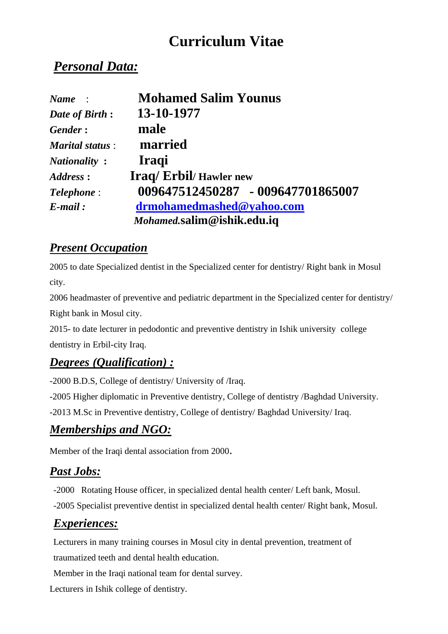# **Curriculum Vitae**

## *Personal Data:*

| Name:                  | <b>Mohamed Salim Younus</b>       |
|------------------------|-----------------------------------|
| Date of Birth:         | 13-10-1977                        |
| Gender:                | male                              |
| <b>Marital status:</b> | married                           |
| <i>Nationality:</i>    | <b>Iraqi</b>                      |
| Address:               | <b>Iraq/Erbil/Hawler new</b>      |
| <b>Telephone:</b>      | 009647512450287 - 009647701865007 |
| $E$ -mail:             | drmohamedmashed@yahoo.com         |
|                        | Mohamed.salim@ishik.edu.iq        |

#### *Present Occupation*

2005 to date Specialized dentist in the Specialized center for dentistry/ Right bank in Mosul city.

2006 headmaster of preventive and pediatric department in the Specialized center for dentistry/ Right bank in Mosul city.

2015- to date lecturer in pedodontic and preventive dentistry in Ishik university college dentistry in Erbil-city Iraq.

#### *Degrees (Qualification) :*

-2000 B.D.S, College of dentistry/ University of /Iraq.

-2005 Higher diplomatic in Preventive dentistry, College of dentistry /Baghdad University.

-2013 M.Sc in Preventive dentistry, College of dentistry/ Baghdad University/ Iraq.

#### *Memberships and NGO:*

Member of the Iraqi dental association from 2000.

#### *Past Jobs:*

-2000 Rotating House officer, in specialized dental health center/ Left bank, Mosul. -2005 Specialist preventive dentist in specialized dental health center/ Right bank, Mosul.

### *Experiences:*

Lecturers in many training courses in Mosul city in dental prevention, treatment of traumatized teeth and dental health education.

Member in the Iraqi national team for dental survey.

Lecturers in Ishik college of dentistry.